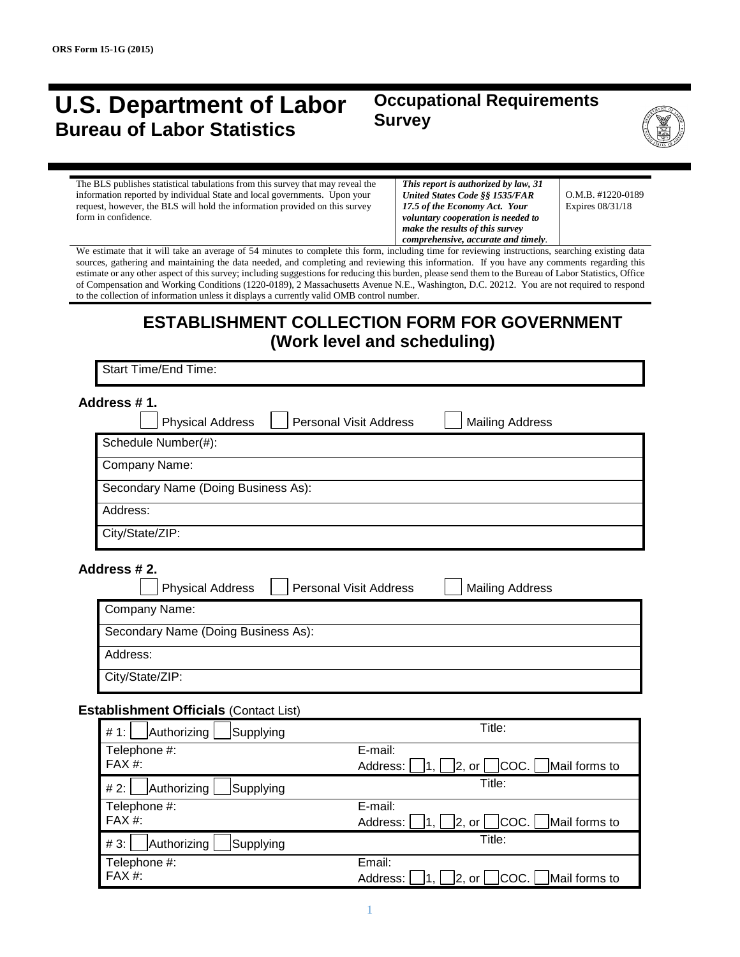## **U.S. Department of Labor Bureau of Labor Statistics**

## **Occupational Requirements Survey**



The BLS publishes statistical tabulations from this survey that may reveal the information reported by individual State and local governments. Upon your request, however, the BLS will hold the information provided on this survey form in confidence.

*This report is authorized by law, 31 United States Code §§ 1535/FAR 17.5 of the Economy Act. Your voluntary cooperation is needed to make the results of this survey comprehensive, accurate and timely.*

O.M.B. #1220-0189 Expires 08/31/18

We estimate that it will take an average of 54 minutes to complete this form, including time for reviewing instructions, searching existing data sources, gathering and maintaining the data needed, and completing and reviewing this information. If you have any comments regarding this estimate or any other aspect of this survey; including suggestions for reducing this burden, please send them to the Bureau of Labor Statistics, Office of Compensation and Working Conditions (1220-0189), 2 Massachusetts Avenue N.E., Washington, D.C. 20212. You are not required to respond to the collection of information unless it displays a currently valid OMB control number.

## **ESTABLISHMENT COLLECTION FORM FOR GOVERNMENT (Work level and scheduling)**

Start Time/End Time:

| Schedule Number(#):                 |  |
|-------------------------------------|--|
|                                     |  |
| Company Name:                       |  |
| Secondary Name (Doing Business As): |  |
| Address:                            |  |
| City/State/ZIP:                     |  |

**Address # 2.**

| <b>Physical Address</b>             | <b>Personal Visit Address</b> | <b>Mailing Address</b> |
|-------------------------------------|-------------------------------|------------------------|
| Company Name:                       |                               |                        |
| Secondary Name (Doing Business As): |                               |                        |
| Address:                            |                               |                        |
| City/State/ZIP:                     |                               |                        |

#### **Establishment Officials** (Contact List)

| Authorizing<br># 1:<br>Supplying | Title:                                                    |
|----------------------------------|-----------------------------------------------------------|
| Telephone #:                     | E-mail:                                                   |
| FAX #:                           | $ 2, or $ $ COC. $ Mail forms to<br>Address:              |
| Authorizing<br># 2:<br>Supplying | Title:                                                    |
| Telephone #:                     | E-mail:                                                   |
| FAX #:                           | $ COC. $ Mail forms to<br>Address:<br> 2, or              |
| Authorizing<br>#3.<br>Supplying  | Title:                                                    |
| Telephone #:                     | Email:                                                    |
| FAX #:                           | COC.   Mail forms to<br>Address:<br>$\vert$ 2, or $\vert$ |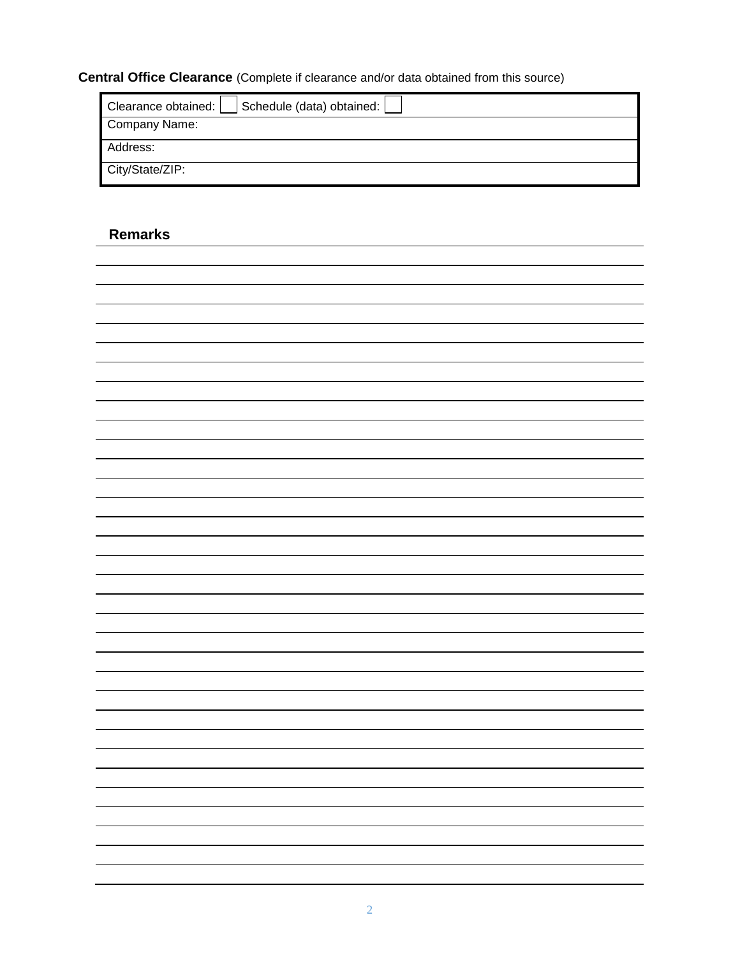## **Central Office Clearance** (Complete if clearance and/or data obtained from this source)

| Schedule (data) obtained:<br>Clearance obtained: |
|--------------------------------------------------|
| Company Name:                                    |
| Address:                                         |
| City/State/ZIP:                                  |

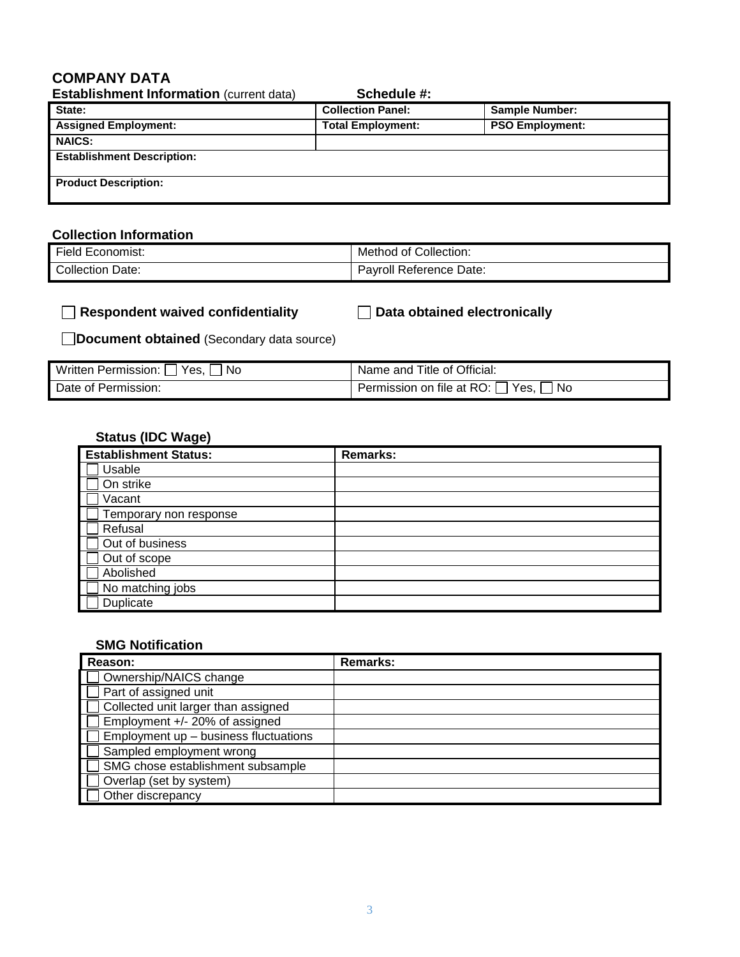## **COMPANY DATA**

| <b>Establishment Information (current data)</b> | Schedule #:              |                        |
|-------------------------------------------------|--------------------------|------------------------|
| State:                                          | <b>Collection Panel:</b> | <b>Sample Number:</b>  |
| <b>Assigned Employment:</b>                     | <b>Total Employment:</b> | <b>PSO Employment:</b> |
| <b>NAICS:</b>                                   |                          |                        |
| <b>Establishment Description:</b>               |                          |                        |
| <b>Product Description:</b>                     |                          |                        |

## **Collection Information**

| Field Economist:        | Method of Collection:   |
|-------------------------|-------------------------|
| <b>Collection Date:</b> | Payroll Reference Date: |

|  |  | Respondent waived confidentiality |  |
|--|--|-----------------------------------|--|
|  |  |                                   |  |

**Respondent waived confidentiality Data obtained electronically**

**Document obtained** (Secondary data source)

| Written Permission:<br>Yes.<br>No | Name and Title of Official:                |
|-----------------------------------|--------------------------------------------|
| Date of Permission:               | Permission on file at RO: [<br>No.<br>Yes. |

## **Status (IDC Wage)**

| <b>Establishment Status:</b> | <b>Remarks:</b> |
|------------------------------|-----------------|
| Usable                       |                 |
| On strike                    |                 |
| Vacant                       |                 |
| Temporary non response       |                 |
| Refusal                      |                 |
| Out of business              |                 |
| Out of scope                 |                 |
| Abolished                    |                 |
| No matching jobs             |                 |
| Duplicate                    |                 |

#### **SMG Notification**

| Reason:                               | <b>Remarks:</b> |
|---------------------------------------|-----------------|
| Ownership/NAICS change                |                 |
| Part of assigned unit                 |                 |
| Collected unit larger than assigned   |                 |
| Employment +/- 20% of assigned        |                 |
| Employment up - business fluctuations |                 |
| Sampled employment wrong              |                 |
| SMG chose establishment subsample     |                 |
| Overlap (set by system)               |                 |
| Other discrepancy                     |                 |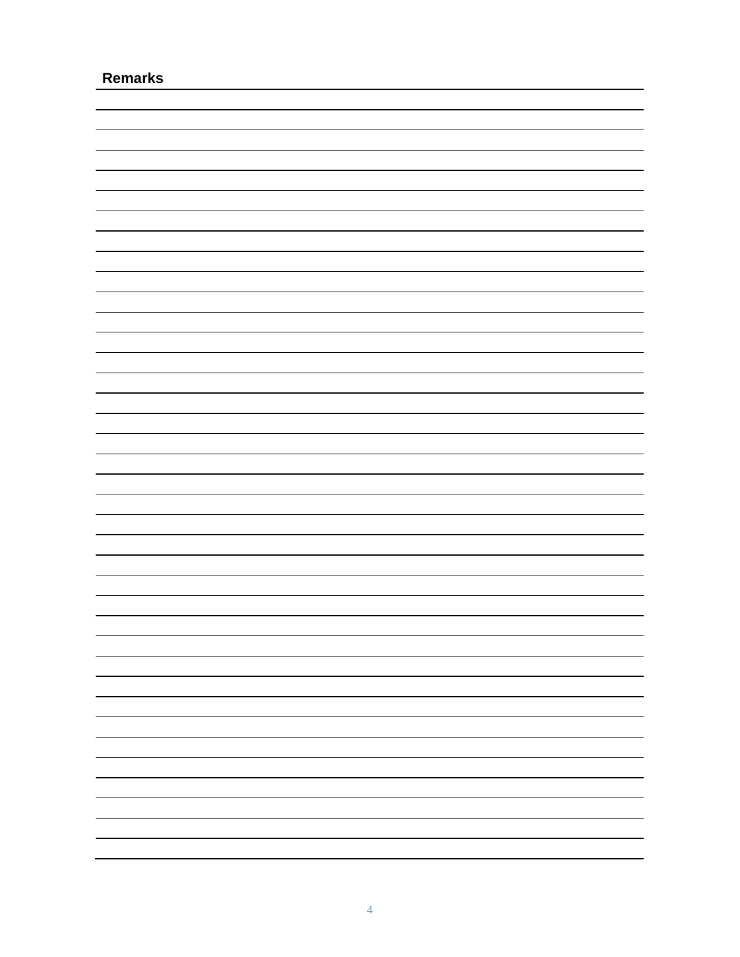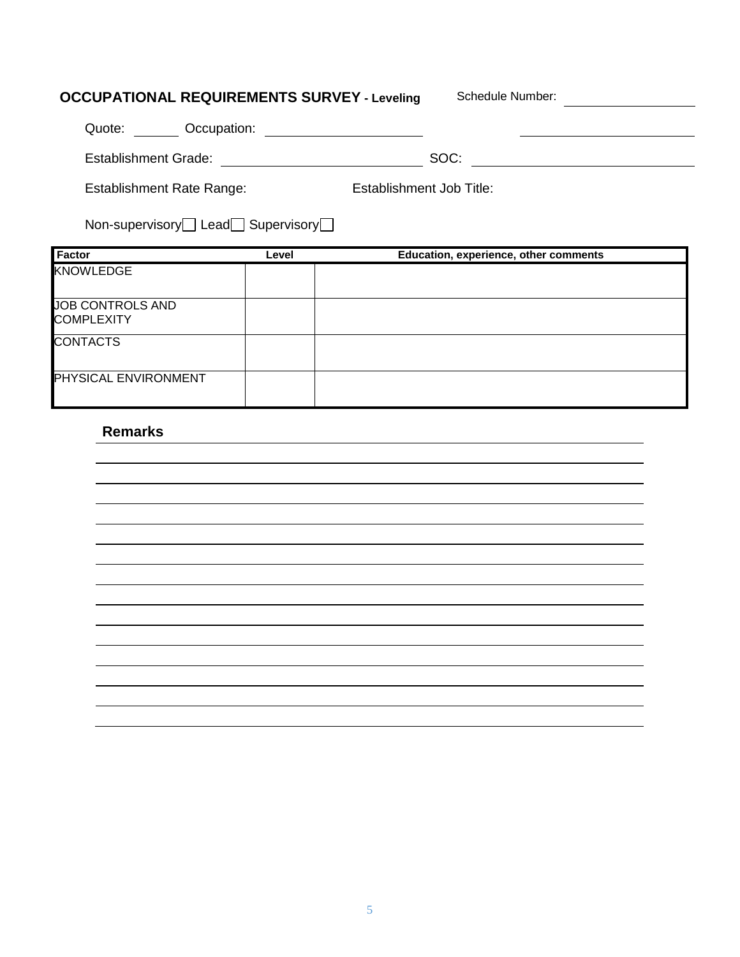## **OCCUPATIONAL REQUIREMENTS SURVEY - Leveling Schedule Number:**

| Occupation:<br>Quote:                                 |                          |  |
|-------------------------------------------------------|--------------------------|--|
| <b>Establishment Grade:</b>                           | SOC:                     |  |
| Establishment Rate Range:                             | Establishment Job Title: |  |
| Non-supervisory $\Box$ Lead $\Box$ Supervisory $\Box$ |                          |  |

| Factor                                       | Level | Education, experience, other comments |
|----------------------------------------------|-------|---------------------------------------|
| <b>KNOWLEDGE</b>                             |       |                                       |
| <b>JOB CONTROLS AND</b><br><b>COMPLEXITY</b> |       |                                       |
| <b>CONTACTS</b>                              |       |                                       |
| PHYSICAL ENVIRONMENT                         |       |                                       |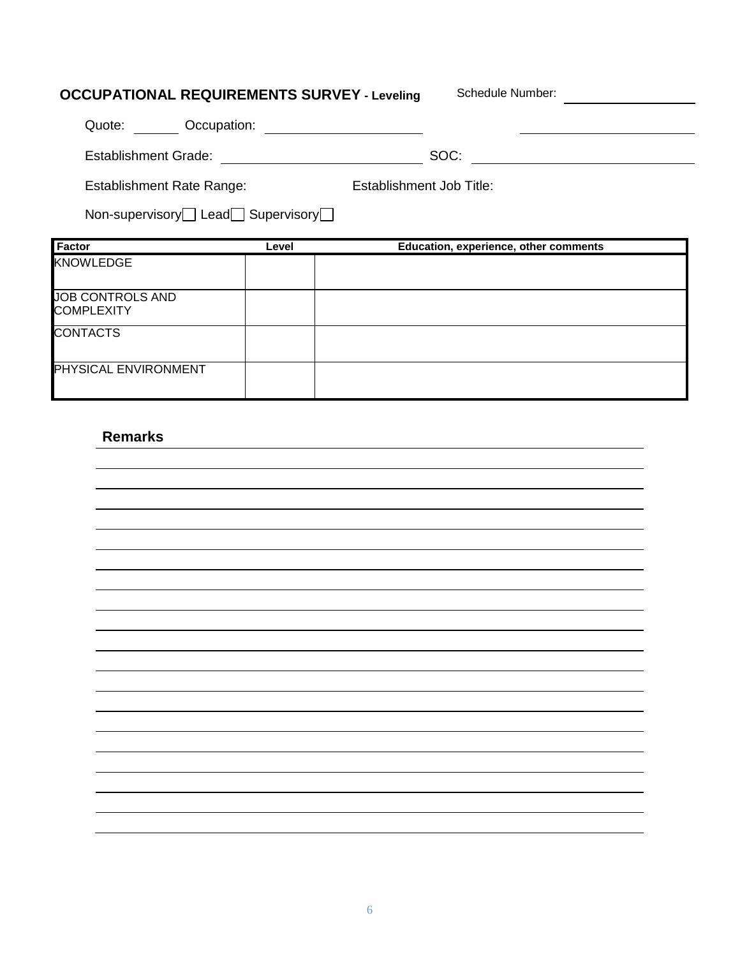## **OCCUPATIONAL REQUIREMENTS SURVEY - Leveling** Schedule Number: \_\_\_\_\_\_\_\_\_\_\_\_\_\_\_\_\_

| Occupation:<br>Quote:            |                          |
|----------------------------------|--------------------------|
| <b>Establishment Grade:</b>      | SOC:                     |
| <b>Establishment Rate Range:</b> | Establishment Job Title: |

Non-supervisory<sup>-1</sup> Lead<sup>-1</sup> Supervisory<sup>-1</sup>

| <b>Factor</b>                         | Level | Education, experience, other comments |
|---------------------------------------|-------|---------------------------------------|
| <b>KNOWLEDGE</b>                      |       |                                       |
| JOB CONTROLS AND<br><b>COMPLEXITY</b> |       |                                       |
| <b>CONTACTS</b>                       |       |                                       |
| <b>PHYSICAL ENVIRONMENT</b>           |       |                                       |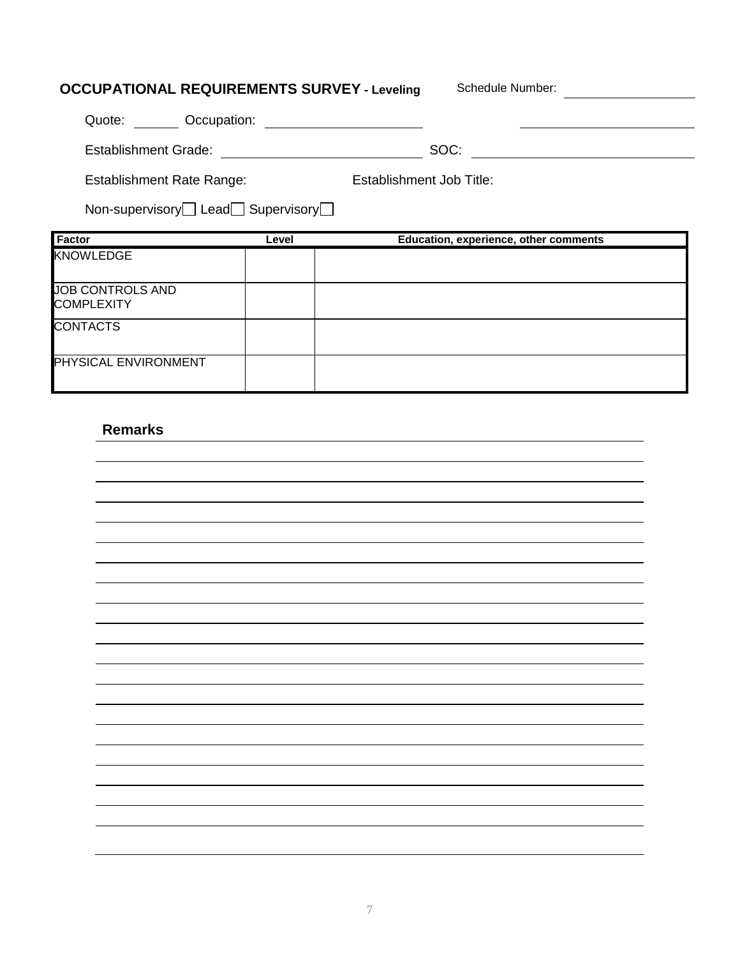## **OCCUPATIONAL REQUIREMENTS SURVEY - Leveling** Schedule Number: \_\_\_\_\_\_\_\_\_\_\_\_\_\_\_\_\_ Quote: Occupation: Establishment Grade: SOC: Establishment Job Title: Establishment Rate Range: Non-supervisory<sup>1</sup> Lead<sup>1</sup> Supervisory<sup>1</sup> **Factor Level Education, experience, other comments** KNOWLEDGE JOB CONTROLS AND **COMPLEXITY CONTACTS**

### **Remarks**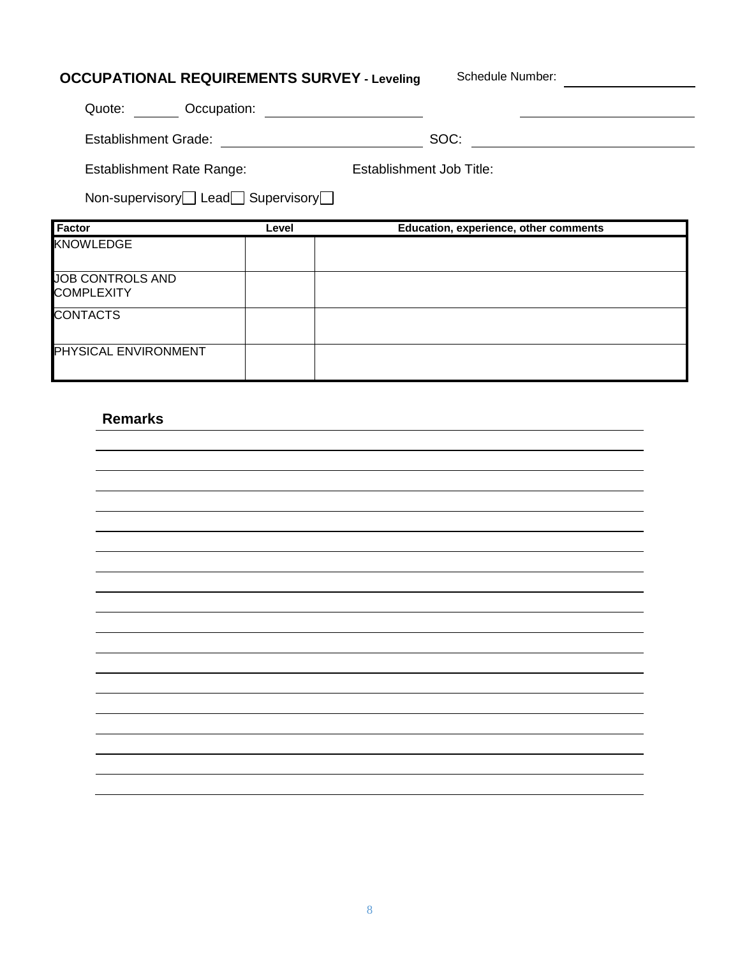| <b>OCCUPATIONAL REQUIREMENTS SURVEY - Leveling</b> |       | Schedule Number:                      |
|----------------------------------------------------|-------|---------------------------------------|
| Quote:<br>Occupation:                              |       |                                       |
| <b>Establishment Grade:</b>                        |       | SOC:                                  |
| <b>Establishment Rate Range:</b>                   |       | Establishment Job Title:              |
| Non-supervisory Lead Supervisory                   |       |                                       |
| Factor                                             | Level | Education, experience, other comments |
| <b>KNOWLEDGE</b>                                   |       |                                       |
| <b>JOB CONTROLS AND</b><br><b>COMPLEXITY</b>       |       |                                       |
| <b>CONTACTS</b>                                    |       |                                       |

## **Remarks**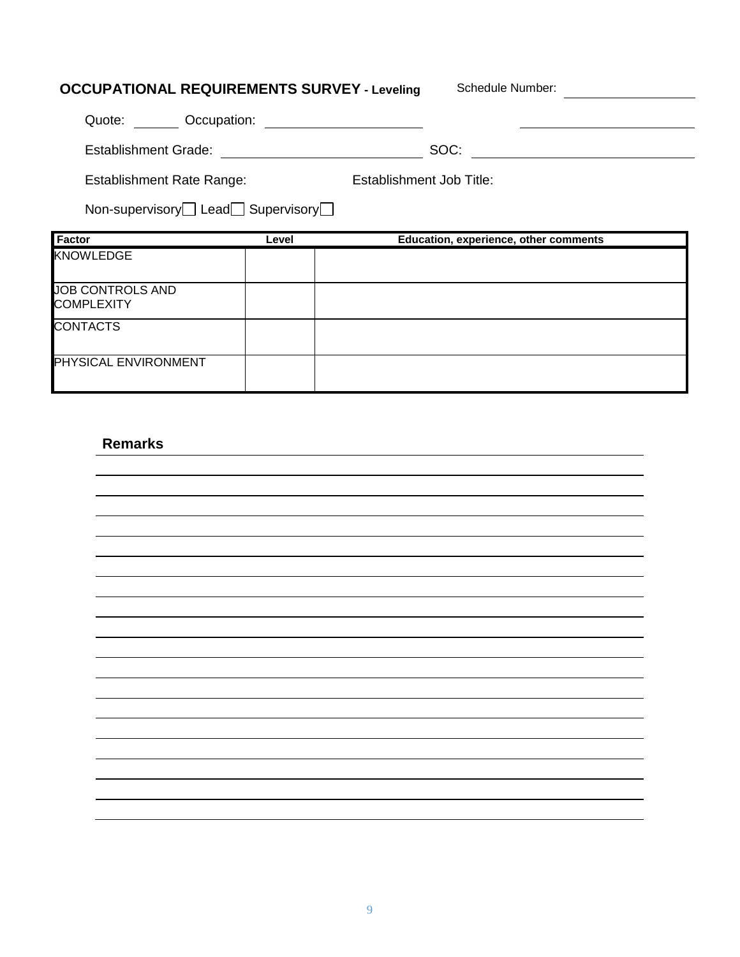| <b>OCCUPATIONAL REQUIREMENTS SURVEY - Leveling</b> |       | Schedule Number:                      |
|----------------------------------------------------|-------|---------------------------------------|
| Quote:<br>Occupation:                              |       |                                       |
| Establishment Grade:                               |       | SOC:                                  |
| <b>Establishment Rate Range:</b>                   |       | <b>Establishment Job Title:</b>       |
| Non-supervisory Lead Supervisory                   |       |                                       |
| Factor                                             | Level | Education, experience, other comments |
| <b>KNOWLEDGE</b>                                   |       |                                       |
| <b>JOB CONTROLS AND</b><br><b>COMPLEXITY</b>       |       |                                       |
| <b>CONTACTS</b>                                    |       |                                       |

## **Remarks**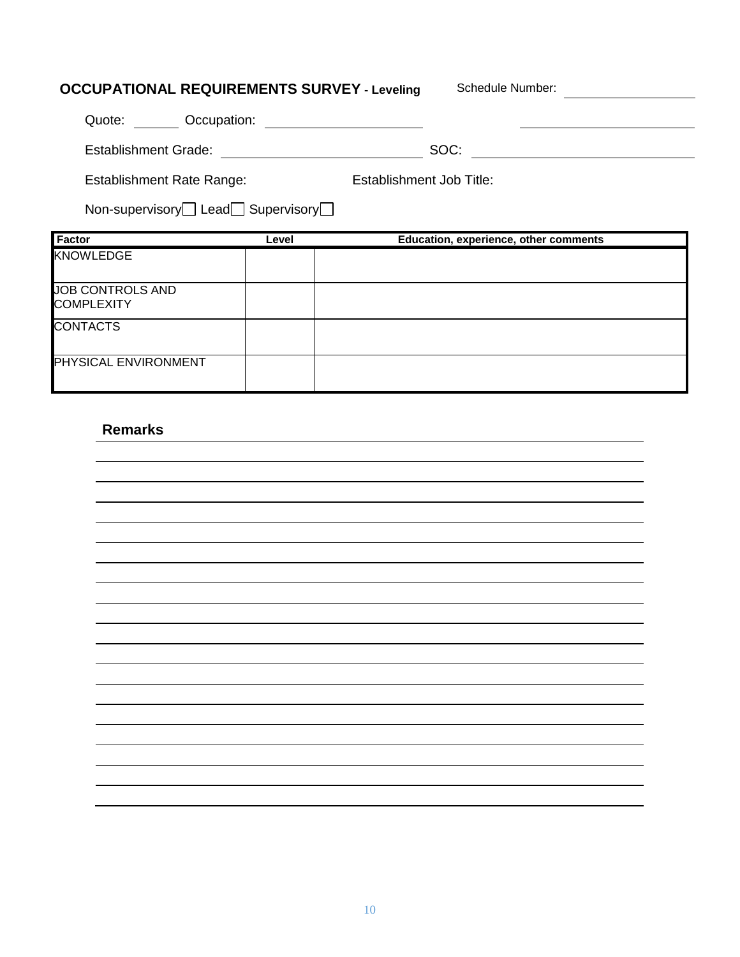# **OCCUPATIONAL REQUIREMENTS SURVEY - Leveling** Schedule Number: \_\_\_\_\_\_\_\_\_\_\_\_\_\_\_\_\_ Quote: Occupation: Establishment Grade: SOC: Establishment Rate Range: Non-supervisory<sup>1</sup> Lead<sup>1</sup> Supervisory<sup>1</sup> Establishment Job Title: **Factor Level Education, experience, other comments** KNOWLEDGE JOB CONTROLS AND **COMPLEXITY CONTACTS**

### **Remarks**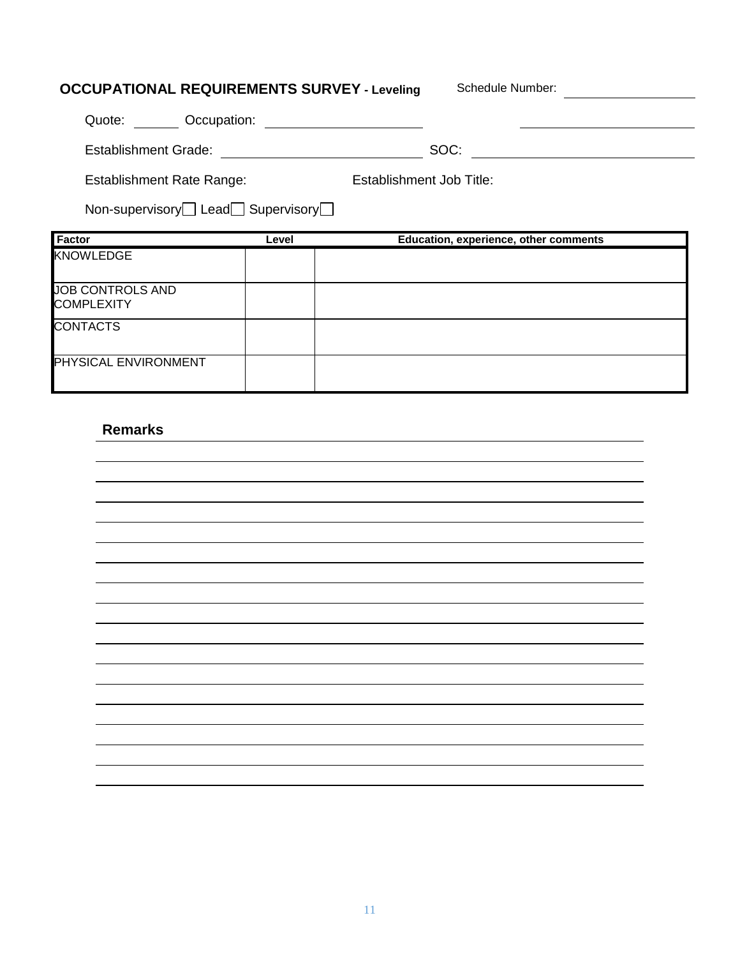# **OCCUPATIONAL REQUIREMENTS SURVEY - Leveling** Schedule Number: \_\_\_\_\_\_\_\_\_\_\_\_\_\_\_\_\_ Quote: Occupation: Establishment Grade: SOC: Establishment Rate Range: Non-supervisory<sup>1</sup> Lead<sup>1</sup> Supervisory<sup>1</sup> Establishment Job Title: **Factor Level Education, experience, other comments** KNOWLEDGE JOB CONTROLS AND **COMPLEXITY CONTACTS**

### **Remarks**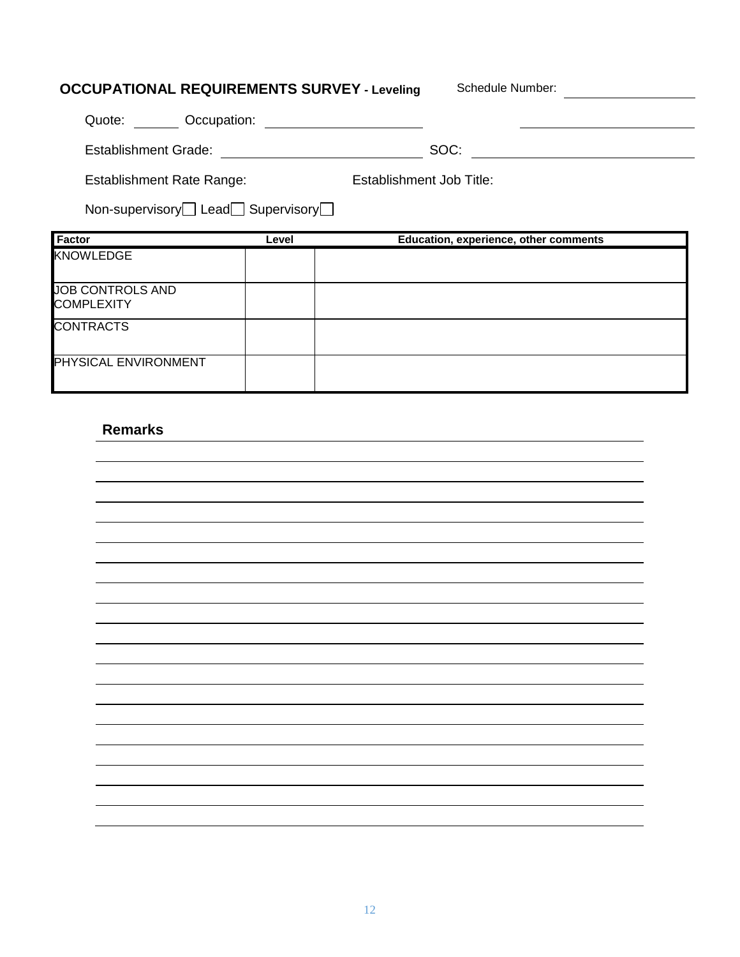# **OCCUPATIONAL REQUIREMENTS SURVEY - Leveling** Schedule Number: \_\_\_\_\_\_\_\_\_\_\_\_\_\_\_\_\_ Quote: Occupation: Establishment Grade: SOC: Establishment Rate Range: Non-supervisory<sup>1</sup> Lead<sup>1</sup> Supervisory<sup>1</sup> Establishment Job Title: **Factor Level Education, experience, other comments** KNOWLEDGE JOB CONTROLS AND **COMPLEXITY** CONTRACTS

#### **Remarks**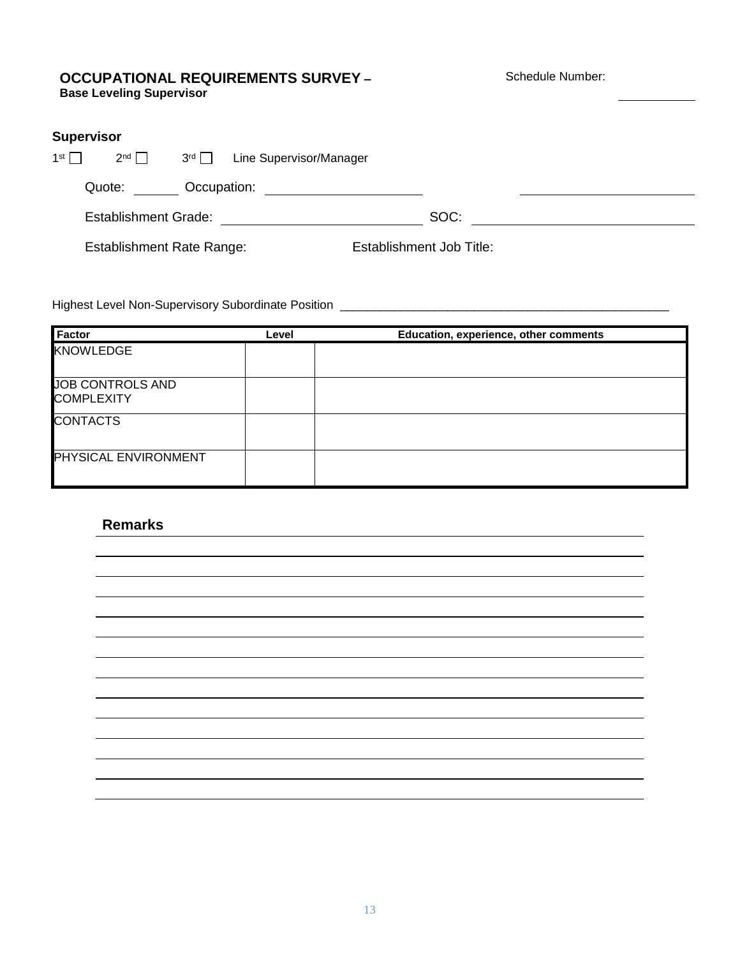#### **OCCUPATIONAL REQUIREMENTS SURVEY – Base Leveling Supervisor**

Schedule Number:

|                 | <b>Supervisor</b>                |               |                         |                                 |  |
|-----------------|----------------------------------|---------------|-------------------------|---------------------------------|--|
| 1 <sup>st</sup> | $2^{nd}$                         | $3^{rd} \Box$ | Line Supervisor/Manager |                                 |  |
|                 | Quote:                           | Occupation:   |                         |                                 |  |
|                 | <b>Establishment Grade:</b>      |               |                         | SOC:                            |  |
|                 | <b>Establishment Rate Range:</b> |               |                         | <b>Establishment Job Title:</b> |  |

Highest Level Non-Supervisory Subordinate Position \_\_\_\_\_\_\_\_\_\_\_\_\_\_\_\_\_\_\_\_\_\_\_\_\_\_\_\_\_\_\_\_\_\_\_\_\_\_\_\_\_\_\_\_\_\_\_\_\_

| Factor                      | Level | Education, experience, other comments |
|-----------------------------|-------|---------------------------------------|
| KNOWLEDGE                   |       |                                       |
|                             |       |                                       |
| JOB CONTROLS AND            |       |                                       |
| <b>COMPLEXITY</b>           |       |                                       |
| <b>CONTACTS</b>             |       |                                       |
|                             |       |                                       |
| <b>PHYSICAL ENVIRONMENT</b> |       |                                       |
|                             |       |                                       |

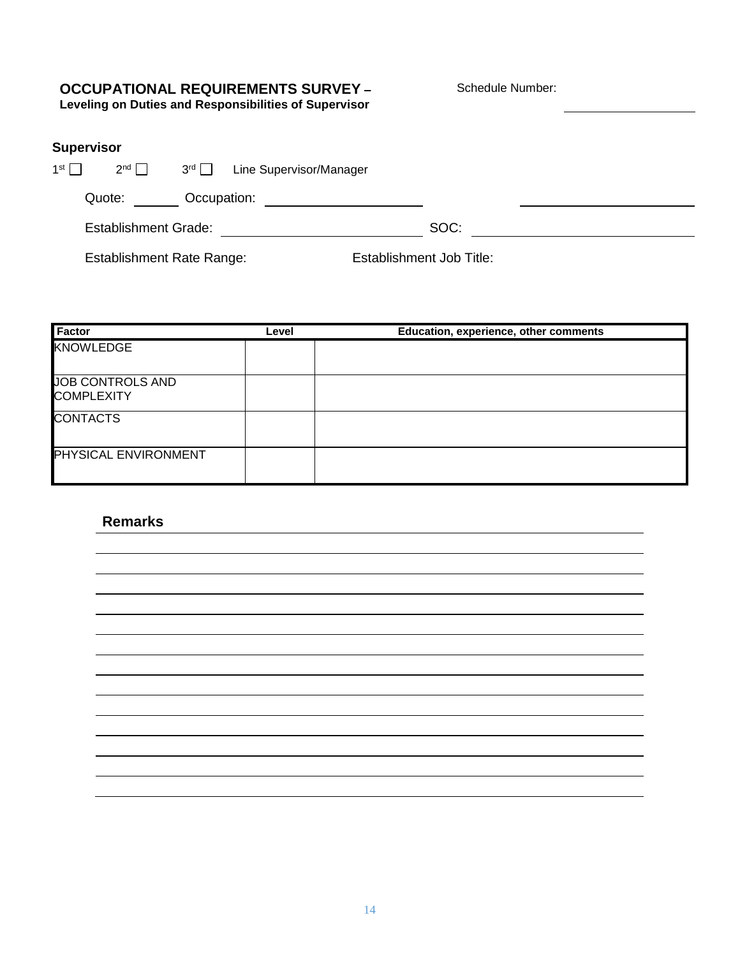## **OCCUPATIONAL REQUIREMENTS SURVEY –**

Schedule Number:

**Leveling on Duties and Responsibilities of Supervisor**

## **Supervisor**

| 1 <sup>st</sup> | $2^{nd}$                    | $3^{\text{rd}} \square$ | Line Supervisor/Manager |      |  |
|-----------------|-----------------------------|-------------------------|-------------------------|------|--|
|                 | Quote:                      | Occupation:             |                         |      |  |
|                 | <b>Establishment Grade:</b> |                         |                         | SOC: |  |

Establishment Rate Range: Establishment Job Title:

| Factor                                       | Level | Education, experience, other comments |
|----------------------------------------------|-------|---------------------------------------|
| <b>KNOWLEDGE</b>                             |       |                                       |
| <b>JOB CONTROLS AND</b><br><b>COMPLEXITY</b> |       |                                       |
| <b>CONTACTS</b>                              |       |                                       |
| PHYSICAL ENVIRONMENT                         |       |                                       |

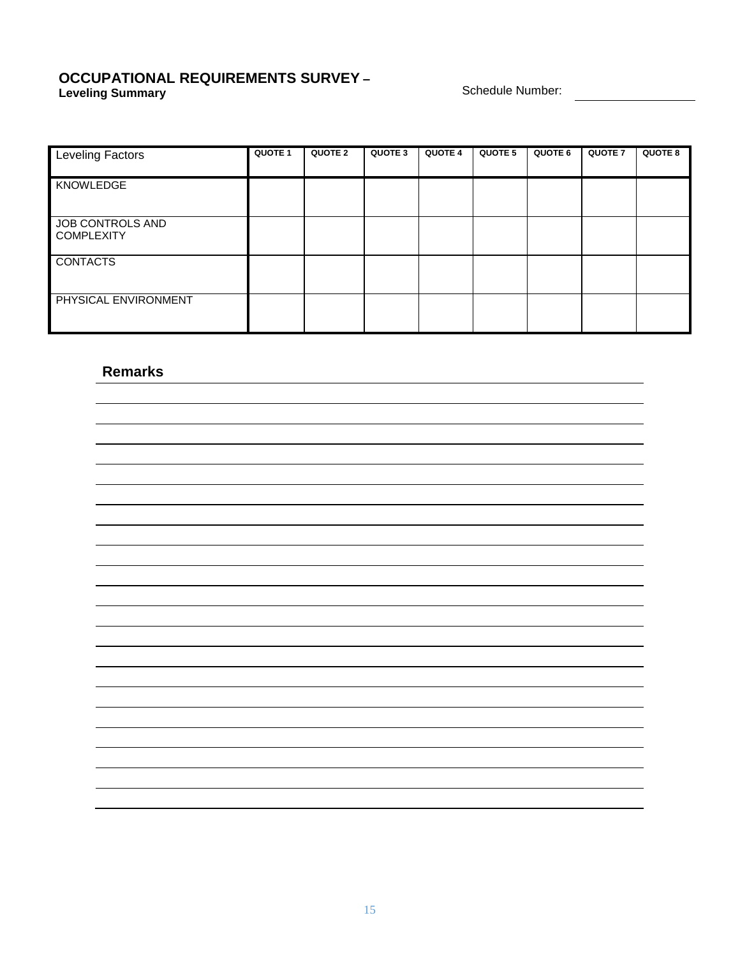#### **OCCUPATIONAL REQUIREMENTS SURVEY – Leveling Summary Schedule Number: Constant Constant Constant Constant Constant Constant Constant Constant Constant Constant Constant Constant Constant Constant Constant Constant Constant Constant Constant Constant Con**

| Leveling Factors                      | QUOTE 1 | <b>QUOTE 2</b> | QUOTE 3 | <b>QUOTE 4</b> | <b>QUOTE 5</b> | QUOTE 6 | <b>QUOTE 7</b> | <b>QUOTE 8</b> |
|---------------------------------------|---------|----------------|---------|----------------|----------------|---------|----------------|----------------|
| KNOWLEDGE                             |         |                |         |                |                |         |                |                |
| JOB CONTROLS AND<br><b>COMPLEXITY</b> |         |                |         |                |                |         |                |                |
| <b>CONTACTS</b><br>Π                  |         |                |         |                |                |         |                |                |
| PHYSICAL ENVIRONMENT                  |         |                |         |                |                |         |                |                |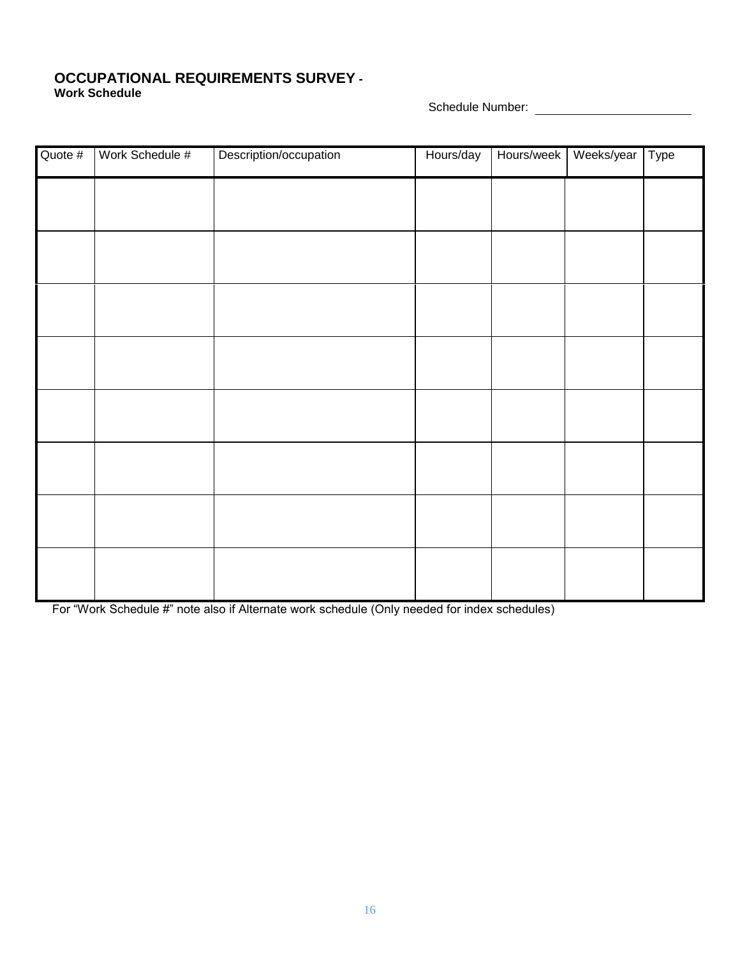#### **OCCUPATIONAL REQUIREMENTS SURVEY - Work Schedule**

Schedule Number:

| Quote # | Work Schedule # | Description/occupation | Hours/day | Hours/week | Weeks/year | Type |
|---------|-----------------|------------------------|-----------|------------|------------|------|
|         |                 |                        |           |            |            |      |
|         |                 |                        |           |            |            |      |
|         |                 |                        |           |            |            |      |
|         |                 |                        |           |            |            |      |
|         |                 |                        |           |            |            |      |
|         |                 |                        |           |            |            |      |
|         |                 |                        |           |            |            |      |
|         |                 |                        |           |            |            |      |
|         |                 |                        |           |            |            |      |
|         |                 |                        |           |            |            |      |
|         |                 |                        |           |            |            |      |
|         |                 |                        |           |            |            |      |

For "Work Schedule #" note also if Alternate work schedule (Only needed for index schedules)